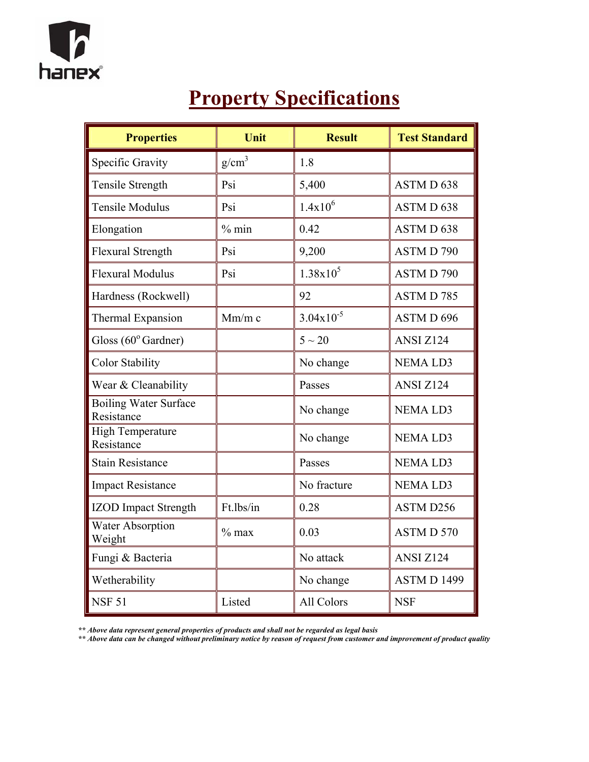

## **Property Specifications**

| <b>Properties</b>                          | Unit      | <b>Result</b>  | <b>Test Standard</b> |
|--------------------------------------------|-----------|----------------|----------------------|
| Specific Gravity                           | $g/cm^3$  | 1.8            |                      |
| <b>Tensile Strength</b>                    | Psi       | 5,400          | ASTMD 638            |
| <b>Tensile Modulus</b>                     | Psi       | $1.4x10^{6}$   | ASTMD 638            |
| Elongation                                 | $%$ min   | 0.42           | ASTMD 638            |
| <b>Flexural Strength</b>                   | Psi       | 9,200          | ASTMD790             |
| <b>Flexural Modulus</b>                    | Psi       | $1.38x10^5$    | ASTM D 790           |
| Hardness (Rockwell)                        |           | 92             | ASTMD785             |
| <b>Thermal Expansion</b>                   | Mm/m c    | $3.04x10^{-5}$ | ASTMD 696            |
| Gloss (60° Gardner)                        |           | $5 \sim 20$    | ANSI Z124            |
| <b>Color Stability</b>                     |           | No change      | <b>NEMALD3</b>       |
| Wear & Cleanability                        |           | Passes         | ANSI Z124            |
| <b>Boiling Water Surface</b><br>Resistance |           | No change      | <b>NEMALD3</b>       |
| <b>High Temperature</b><br>Resistance      |           | No change      | <b>NEMALD3</b>       |
| <b>Stain Resistance</b>                    |           | Passes         | <b>NEMALD3</b>       |
| <b>Impact Resistance</b>                   |           | No fracture    | <b>NEMALD3</b>       |
| <b>IZOD</b> Impact Strength                | Ft.lbs/in | 0.28           | ASTM D256            |
| <b>Water Absorption</b><br>Weight          | $%$ max   | 0.03           | ASTMD 570            |
| Fungi & Bacteria                           |           | No attack      | ANSI Z124            |
| Wetherability                              |           | No change      | ASTM D 1499          |
| <b>NSF 51</b>                              | Listed    | All Colors     | <b>NSF</b>           |

*<sup>\*\*</sup> Above data represent general properties of products and shall not be regarded as legal basis* 

*\*\* Above data can be changed without preliminary notice by reason of request from customer and improvement of product quality*